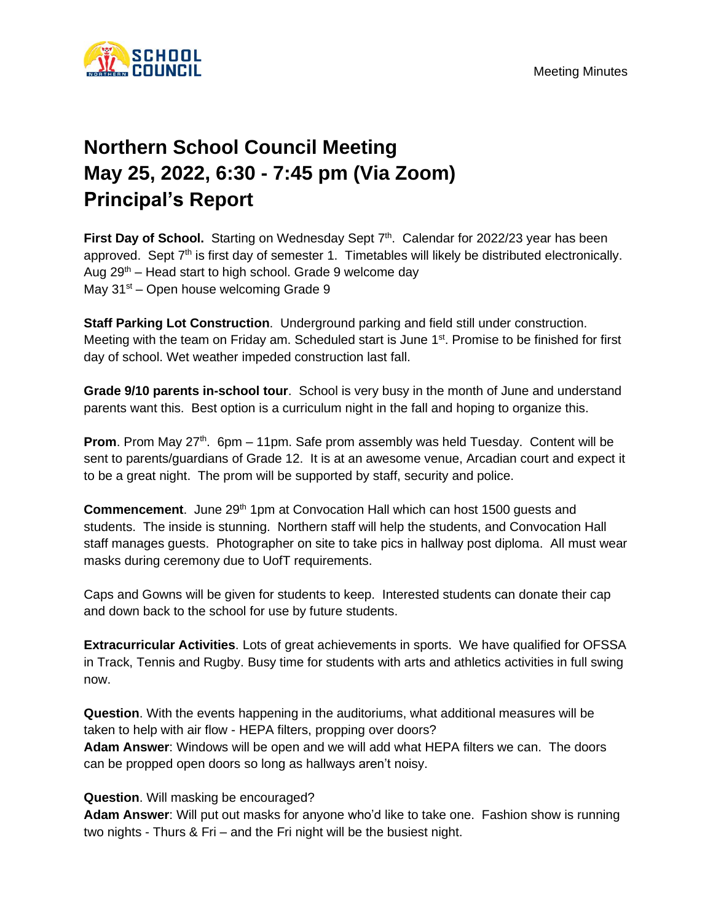

## **Northern School Council Meeting May 25, 2022, 6:30 - 7:45 pm (Via Zoom) Principal's Report**

First Day of School. Starting on Wednesday Sept 7<sup>th</sup>. Calendar for 2022/23 year has been approved. Sept  $7<sup>th</sup>$  is first day of semester 1. Timetables will likely be distributed electronically. Aug  $29<sup>th</sup>$  – Head start to high school. Grade 9 welcome day May  $31<sup>st</sup>$  – Open house welcoming Grade 9

**Staff Parking Lot Construction**. Underground parking and field still under construction. Meeting with the team on Friday am. Scheduled start is June 1<sup>st</sup>. Promise to be finished for first day of school. Wet weather impeded construction last fall.

**Grade 9/10 parents in-school tour**. School is very busy in the month of June and understand parents want this. Best option is a curriculum night in the fall and hoping to organize this.

**Prom**. Prom May 27<sup>th</sup>. 6pm – 11pm. Safe prom assembly was held Tuesday. Content will be sent to parents/guardians of Grade 12. It is at an awesome venue, Arcadian court and expect it to be a great night. The prom will be supported by staff, security and police.

**Commencement.** June 29<sup>th</sup> 1pm at Convocation Hall which can host 1500 quests and students. The inside is stunning. Northern staff will help the students, and Convocation Hall staff manages guests. Photographer on site to take pics in hallway post diploma. All must wear masks during ceremony due to UofT requirements.

Caps and Gowns will be given for students to keep. Interested students can donate their cap and down back to the school for use by future students.

**Extracurricular Activities**. Lots of great achievements in sports. We have qualified for OFSSA in Track, Tennis and Rugby. Busy time for students with arts and athletics activities in full swing now.

**Question**. With the events happening in the auditoriums, what additional measures will be taken to help with air flow - HEPA filters, propping over doors?

**Adam Answer**: Windows will be open and we will add what HEPA filters we can. The doors can be propped open doors so long as hallways aren't noisy.

## **Question**. Will masking be encouraged?

**Adam Answer**: Will put out masks for anyone who'd like to take one. Fashion show is running two nights - Thurs & Fri – and the Fri night will be the busiest night.